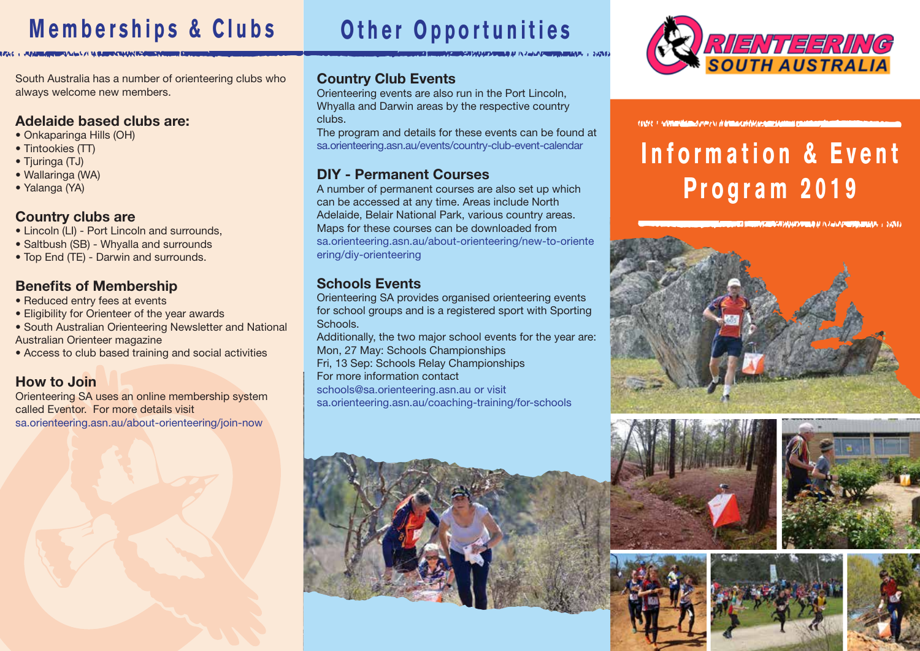# **Memberships & Clubs Other Opportunities**

# **RIENTEERING**

South Australia has a number of orienteering clubs who always welcome new members.

### Adelaide based clubs are:

- Onkaparinga Hills (OH)
- Tintookies (TT)
- Tjuringa (TJ)
- Wallaringa (WA)
- Yalanga (YA)

### Country clubs are

- Lincoln (LI) Port Lincoln and surrounds,
- Saltbush (SB) Whyalla and surrounds
- Top End (TE) Darwin and surrounds.

### Benefits of Membership

- Reduced entry fees at events
- Eligibility for Orienteer of the year awards
- South Australian Orienteering Newsletter and National Australian Orienteer magazine
- Access to club based training and social activities

### How to Join

Orienteering SA uses an online membership system called Eventor. For more details visit sa.orienteering.asn.au/about-orienteering/join-now

### Country Club Events

Orienteering events are also run in the Port Lincoln, Whyalla and Darwin areas by the respective country clubs.

The program and details for these events can be found at sa.orienteering.asn.au/events/country-club-event-calendar

### DIY - Permanent Courses

A number of permanent courses are also set up which can be accessed at any time. Areas include North Adelaide, Belair National Park, various country areas. Maps for these courses can be downloaded from sa.orienteering.asn.au/about-orienteering/new-to-oriente ering/diy-orienteering

### Schools Events

Orienteering SA provides organised orienteering events for school groups and is a registered sport with Sporting Schools.

Additionally, the two major school events for the year are: Mon, 27 May: Schools Championships Fri, 13 Sep: Schools Relay Championships For more information contact

schools@sa.orienteering.asn.au or visit sa.orienteering.asn.au/coaching-training/for-schools











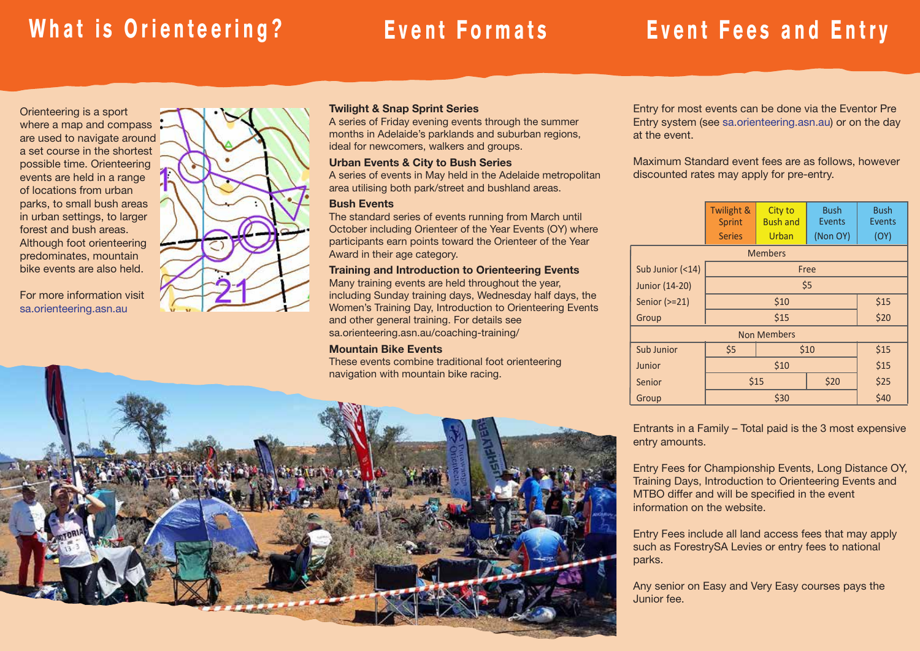# **What is Orienteering? Event Formats Event Fees and Entry**

Orienteering is a sport where a map and compass are used to navigate around a set course in the shortest possible time. Orienteering events are held in a range of locations from urban parks, to small bush areas in urban settings, to larger forest and bush areas. Although foot orienteering predominates, mountain bike events are also held.

For more information visit sa.orienteering.asn.au



### Twilight & Snap Sprint Series

A series of Friday evening events through the summer months in Adelaide's parklands and suburban regions, ideal for newcomers, walkers and groups.

### Urban Events & City to Bush Series

A series of events in May held in the Adelaide metropolitan area utilising both park/street and bushland areas.

### Bush Events

The standard series of events running from March until October including Orienteer of the Year Events (OY) where participants earn points toward the Orienteer of the Year Award in their age category.

### Training and Introduction to Orienteering Events

Many training events are held throughout the year, including Sunday training days, Wednesday half days, the Women's Training Day, Introduction to Orienteering Events and other general training. For details see sa.orienteering.asn.au/coaching-training/

### Mountain Bike Events

These events combine traditional foot orienteering



Maximum Standard event fees are as follows, however discounted rates may apply for pre-entry.

|                    | Twilight &<br>Sprint<br><b>Series</b> | City to<br><b>Bush and</b><br>Urban | <b>Bush</b><br>Events<br>(Non OY) | <b>Bush</b><br><b>Events</b><br>(OY) |  |  |  |  |  |  |
|--------------------|---------------------------------------|-------------------------------------|-----------------------------------|--------------------------------------|--|--|--|--|--|--|
|                    |                                       | <b>Members</b>                      |                                   |                                      |  |  |  |  |  |  |
| Sub Junior (<14)   |                                       |                                     | Free                              |                                      |  |  |  |  |  |  |
| Junior (14-20)     |                                       |                                     | \$5                               |                                      |  |  |  |  |  |  |
| Senior (>=21)      |                                       | \$15                                |                                   |                                      |  |  |  |  |  |  |
| Group              |                                       | \$15                                |                                   | \$20                                 |  |  |  |  |  |  |
| <b>Non Members</b> |                                       |                                     |                                   |                                      |  |  |  |  |  |  |
| <b>Sub Junior</b>  | \$5                                   | \$10                                | \$15                              |                                      |  |  |  |  |  |  |
| Junior             |                                       | \$15                                |                                   |                                      |  |  |  |  |  |  |
| Senior             |                                       | \$15                                | \$20                              | \$25                                 |  |  |  |  |  |  |
| Group              |                                       | \$30                                |                                   | \$40                                 |  |  |  |  |  |  |

Entrants in a Family – Total paid is the 3 most expensive entry amounts.

Entry Fees for Championship Events, Long Distance OY, Training Days, Introduction to Orienteering Events and MTBO differ and will be specified in the event information on the website.

Entry Fees include all land access fees that may apply such as ForestrySA Levies or entry fees to national parks.

Any senior on Easy and Very Easy courses pays the Junior fee.